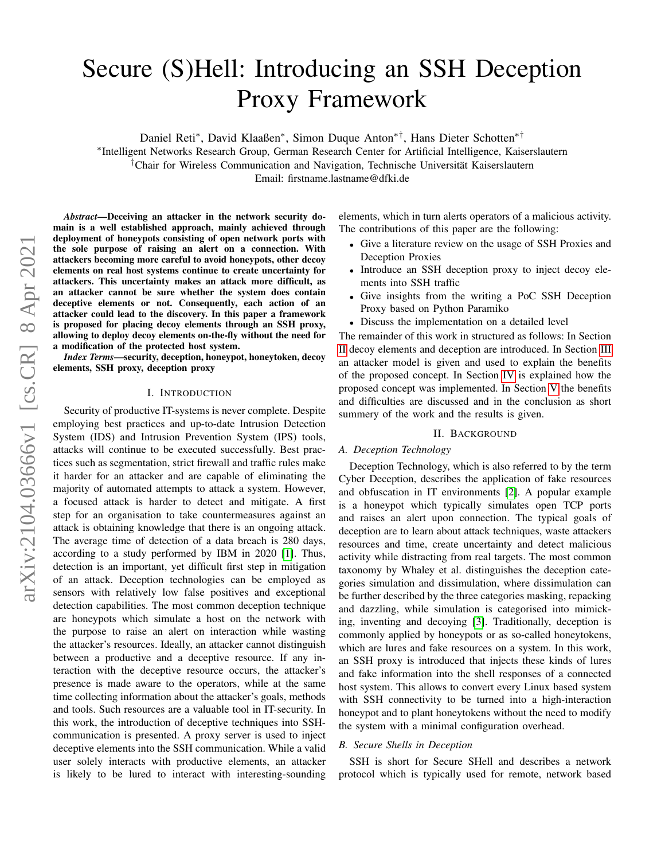# Secure (S)Hell: Introducing an SSH Deception Proxy Framework

Daniel Reti<sup>∗</sup> , David Klaaßen<sup>∗</sup> , Simon Duque Anton∗†, Hans Dieter Schotten∗†

∗ Intelligent Networks Research Group, German Research Center for Artificial Intelligence, Kaiserslautern †Chair for Wireless Communication and Navigation, Technische Universität Kaiserslautern

Email: firstname.lastname@dfki.de

*Abstract*—Deceiving an attacker in the network security domain is a well established approach, mainly achieved through deployment of honeypots consisting of open network ports with the sole purpose of raising an alert on a connection. With attackers becoming more careful to avoid honeypots, other decoy elements on real host systems continue to create uncertainty for attackers. This uncertainty makes an attack more difficult, as an attacker cannot be sure whether the system does contain deceptive elements or not. Consequently, each action of an attacker could lead to the discovery. In this paper a framework is proposed for placing decoy elements through an SSH proxy, allowing to deploy decoy elements on-the-fly without the need for a modification of the protected host system.

*Index Terms*—security, deception, honeypot, honeytoken, decoy elements, SSH proxy, deception proxy

#### I. INTRODUCTION

Security of productive IT-systems is never complete. Despite employing best practices and up-to-date Intrusion Detection System (IDS) and Intrusion Prevention System (IPS) tools, attacks will continue to be executed successfully. Best practices such as segmentation, strict firewall and traffic rules make it harder for an attacker and are capable of eliminating the majority of automated attempts to attack a system. However, a focused attack is harder to detect and mitigate. A first step for an organisation to take countermeasures against an attack is obtaining knowledge that there is an ongoing attack. The average time of detection of a data breach is 280 days, according to a study performed by IBM in 2020 [\[1\]](#page-5-0). Thus, detection is an important, yet difficult first step in mitigation of an attack. Deception technologies can be employed as sensors with relatively low false positives and exceptional detection capabilities. The most common deception technique are honeypots which simulate a host on the network with the purpose to raise an alert on interaction while wasting the attacker's resources. Ideally, an attacker cannot distinguish between a productive and a deceptive resource. If any interaction with the deceptive resource occurs, the attacker's presence is made aware to the operators, while at the same time collecting information about the attacker's goals, methods and tools. Such resources are a valuable tool in IT-security. In this work, the introduction of deceptive techniques into SSHcommunication is presented. A proxy server is used to inject deceptive elements into the SSH communication. While a valid user solely interacts with productive elements, an attacker is likely to be lured to interact with interesting-sounding

elements, which in turn alerts operators of a malicious activity. The contributions of this paper are the following:

- Give a literature review on the usage of SSH Proxies and Deception Proxies
- Introduce an SSH deception proxy to inject decoy elements into SSH traffic
- Give insights from the writing a PoC SSH Deception Proxy based on Python Paramiko
- Discuss the implementation on a detailed level

The remainder of this work in structured as follows: In Section [II](#page-0-0) decoy elements and deception are introduced. In Section [III](#page-1-0) an attacker model is given and used to explain the benefits of the proposed concept. In Section [IV](#page-2-0) is explained how the proposed concept was implemented. In Section [V](#page-4-0) the benefits and difficulties are discussed and in the conclusion as short summery of the work and the results is given.

## II. BACKGROUND

#### <span id="page-0-0"></span>*A. Deception Technology*

Deception Technology, which is also referred to by the term Cyber Deception, describes the application of fake resources and obfuscation in IT environments [\[2\]](#page-5-1). A popular example is a honeypot which typically simulates open TCP ports and raises an alert upon connection. The typical goals of deception are to learn about attack techniques, waste attackers resources and time, create uncertainty and detect malicious activity while distracting from real targets. The most common taxonomy by Whaley et al. distinguishes the deception categories simulation and dissimulation, where dissimulation can be further described by the three categories masking, repacking and dazzling, while simulation is categorised into mimicking, inventing and decoying [\[3\]](#page-5-2). Traditionally, deception is commonly applied by honeypots or as so-called honeytokens, which are lures and fake resources on a system. In this work, an SSH proxy is introduced that injects these kinds of lures and fake information into the shell responses of a connected host system. This allows to convert every Linux based system with SSH connectivity to be turned into a high-interaction honeypot and to plant honeytokens without the need to modify the system with a minimal configuration overhead.

## *B. Secure Shells in Deception*

SSH is short for Secure SHell and describes a network protocol which is typically used for remote, network based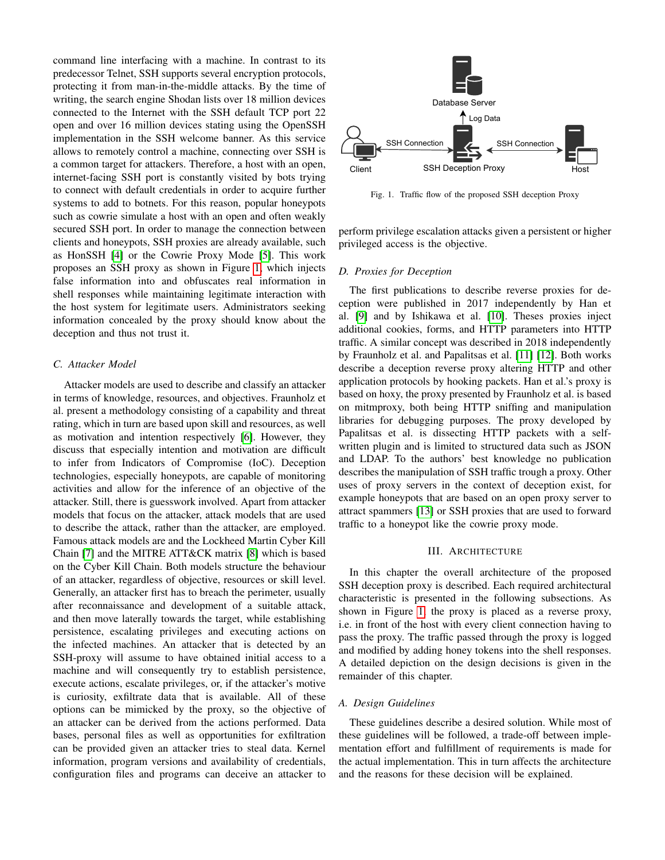command line interfacing with a machine. In contrast to its predecessor Telnet, SSH supports several encryption protocols, protecting it from man-in-the-middle attacks. By the time of writing, the search engine Shodan lists over 18 million devices connected to the Internet with the SSH default TCP port 22 open and over 16 million devices stating using the OpenSSH implementation in the SSH welcome banner. As this service allows to remotely control a machine, connecting over SSH is a common target for attackers. Therefore, a host with an open, internet-facing SSH port is constantly visited by bots trying to connect with default credentials in order to acquire further systems to add to botnets. For this reason, popular honeypots such as cowrie simulate a host with an open and often weakly secured SSH port. In order to manage the connection between clients and honeypots, SSH proxies are already available, such as HonSSH [\[4\]](#page-5-3) or the Cowrie Proxy Mode [\[5\]](#page-5-4). This work proposes an SSH proxy as shown in Figure [1,](#page-1-1) which injects false information into and obfuscates real information in shell responses while maintaining legitimate interaction with the host system for legitimate users. Administrators seeking information concealed by the proxy should know about the deception and thus not trust it.

#### *C. Attacker Model*

Attacker models are used to describe and classify an attacker in terms of knowledge, resources, and objectives. Fraunholz et al. present a methodology consisting of a capability and threat rating, which in turn are based upon skill and resources, as well as motivation and intention respectively [\[6\]](#page-5-5). However, they discuss that especially intention and motivation are difficult to infer from Indicators of Compromise (IoC). Deception technologies, especially honeypots, are capable of monitoring activities and allow for the inference of an objective of the attacker. Still, there is guesswork involved. Apart from attacker models that focus on the attacker, attack models that are used to describe the attack, rather than the attacker, are employed. Famous attack models are and the Lockheed Martin Cyber Kill Chain [\[7\]](#page-5-6) and the MITRE ATT&CK matrix [\[8\]](#page-5-7) which is based on the Cyber Kill Chain. Both models structure the behaviour of an attacker, regardless of objective, resources or skill level. Generally, an attacker first has to breach the perimeter, usually after reconnaissance and development of a suitable attack, and then move laterally towards the target, while establishing persistence, escalating privileges and executing actions on the infected machines. An attacker that is detected by an SSH-proxy will assume to have obtained initial access to a machine and will consequently try to establish persistence, execute actions, escalate privileges, or, if the attacker's motive is curiosity, exfiltrate data that is available. All of these options can be mimicked by the proxy, so the objective of an attacker can be derived from the actions performed. Data bases, personal files as well as opportunities for exfiltration can be provided given an attacker tries to steal data. Kernel information, program versions and availability of credentials, configuration files and programs can deceive an attacker to



<span id="page-1-1"></span>Fig. 1. Traffic flow of the proposed SSH deception Proxy

perform privilege escalation attacks given a persistent or higher privileged access is the objective.

#### *D. Proxies for Deception*

The first publications to describe reverse proxies for deception were published in 2017 independently by Han et al. [\[9\]](#page-5-8) and by Ishikawa et al. [\[10\]](#page-5-9). Theses proxies inject additional cookies, forms, and HTTP parameters into HTTP traffic. A similar concept was described in 2018 independently by Fraunholz et al. and Papalitsas et al. [\[11\]](#page-5-10) [\[12\]](#page-5-11). Both works describe a deception reverse proxy altering HTTP and other application protocols by hooking packets. Han et al.'s proxy is based on hoxy, the proxy presented by Fraunholz et al. is based on mitmproxy, both being HTTP sniffing and manipulation libraries for debugging purposes. The proxy developed by Papalitsas et al. is dissecting HTTP packets with a selfwritten plugin and is limited to structured data such as JSON and LDAP. To the authors' best knowledge no publication describes the manipulation of SSH traffic trough a proxy. Other uses of proxy servers in the context of deception exist, for example honeypots that are based on an open proxy server to attract spammers [\[13\]](#page-5-12) or SSH proxies that are used to forward traffic to a honeypot like the cowrie proxy mode.

#### III. ARCHITECTURE

<span id="page-1-0"></span>In this chapter the overall architecture of the proposed SSH deception proxy is described. Each required architectural characteristic is presented in the following subsections. As shown in Figure [1,](#page-1-1) the proxy is placed as a reverse proxy, i.e. in front of the host with every client connection having to pass the proxy. The traffic passed through the proxy is logged and modified by adding honey tokens into the shell responses. A detailed depiction on the design decisions is given in the remainder of this chapter.

## *A. Design Guidelines*

These guidelines describe a desired solution. While most of these guidelines will be followed, a trade-off between implementation effort and fulfillment of requirements is made for the actual implementation. This in turn affects the architecture and the reasons for these decision will be explained.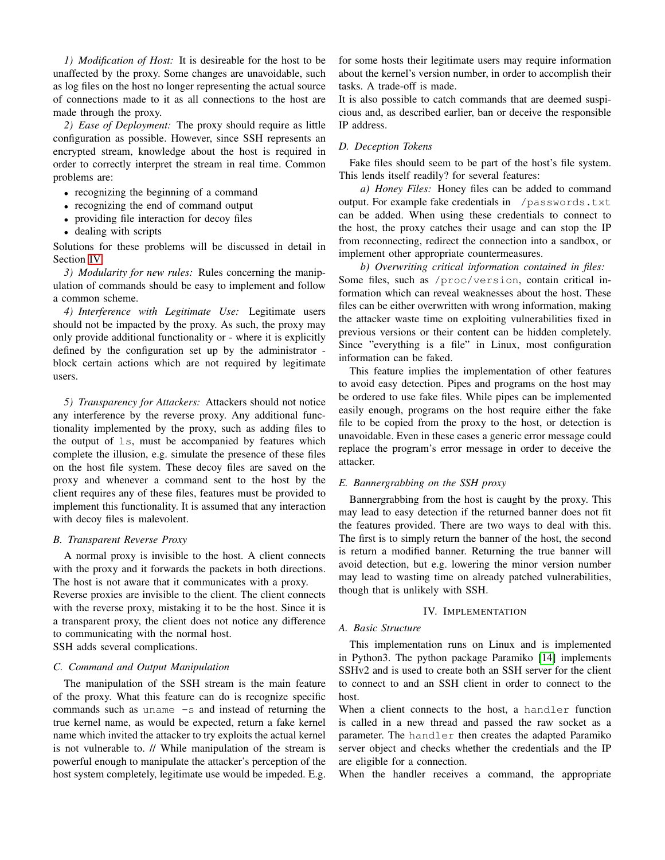*1) Modification of Host:* It is desireable for the host to be unaffected by the proxy. Some changes are unavoidable, such as log files on the host no longer representing the actual source of connections made to it as all connections to the host are made through the proxy.

*2) Ease of Deployment:* The proxy should require as little configuration as possible. However, since SSH represents an encrypted stream, knowledge about the host is required in order to correctly interpret the stream in real time. Common problems are:

- recognizing the beginning of a command
- recognizing the end of command output
- providing file interaction for decoy files
- dealing with scripts

Solutions for these problems will be discussed in detail in Section [IV.](#page-2-0)

*3) Modularity for new rules:* Rules concerning the manipulation of commands should be easy to implement and follow a common scheme.

*4) Interference with Legitimate Use:* Legitimate users should not be impacted by the proxy. As such, the proxy may only provide additional functionality or - where it is explicitly defined by the configuration set up by the administrator block certain actions which are not required by legitimate users.

*5) Transparency for Attackers:* Attackers should not notice any interference by the reverse proxy. Any additional functionality implemented by the proxy, such as adding files to the output of ls, must be accompanied by features which complete the illusion, e.g. simulate the presence of these files on the host file system. These decoy files are saved on the proxy and whenever a command sent to the host by the client requires any of these files, features must be provided to implement this functionality. It is assumed that any interaction with decoy files is malevolent.

## *B. Transparent Reverse Proxy*

A normal proxy is invisible to the host. A client connects with the proxy and it forwards the packets in both directions. The host is not aware that it communicates with a proxy. Reverse proxies are invisible to the client. The client connects with the reverse proxy, mistaking it to be the host. Since it is a transparent proxy, the client does not notice any difference to communicating with the normal host.

SSH adds several complications.

#### *C. Command and Output Manipulation*

The manipulation of the SSH stream is the main feature of the proxy. What this feature can do is recognize specific commands such as uname -s and instead of returning the true kernel name, as would be expected, return a fake kernel name which invited the attacker to try exploits the actual kernel is not vulnerable to. // While manipulation of the stream is powerful enough to manipulate the attacker's perception of the host system completely, legitimate use would be impeded. E.g. for some hosts their legitimate users may require information about the kernel's version number, in order to accomplish their tasks. A trade-off is made.

It is also possible to catch commands that are deemed suspicious and, as described earlier, ban or deceive the responsible IP address.

## *D. Deception Tokens*

Fake files should seem to be part of the host's file system. This lends itself readily? for several features:

*a) Honey Files:* Honey files can be added to command output. For example fake credentials in /passwords.txt can be added. When using these credentials to connect to the host, the proxy catches their usage and can stop the IP from reconnecting, redirect the connection into a sandbox, or implement other appropriate countermeasures.

*b) Overwriting critical information contained in files:* Some files, such as /proc/version, contain critical information which can reveal weaknesses about the host. These files can be either overwritten with wrong information, making the attacker waste time on exploiting vulnerabilities fixed in previous versions or their content can be hidden completely. Since "everything is a file" in Linux, most configuration information can be faked.

This feature implies the implementation of other features to avoid easy detection. Pipes and programs on the host may be ordered to use fake files. While pipes can be implemented easily enough, programs on the host require either the fake file to be copied from the proxy to the host, or detection is unavoidable. Even in these cases a generic error message could replace the program's error message in order to deceive the attacker.

## *E. Bannergrabbing on the SSH proxy*

Bannergrabbing from the host is caught by the proxy. This may lead to easy detection if the returned banner does not fit the features provided. There are two ways to deal with this. The first is to simply return the banner of the host, the second is return a modified banner. Returning the true banner will avoid detection, but e.g. lowering the minor version number may lead to wasting time on already patched vulnerabilities, though that is unlikely with SSH.

#### IV. IMPLEMENTATION

## <span id="page-2-0"></span>*A. Basic Structure*

This implementation runs on Linux and is implemented in Python3. The python package Paramiko [\[14\]](#page-5-13) implements SSHv2 and is used to create both an SSH server for the client to connect to and an SSH client in order to connect to the host.

When a client connects to the host, a handler function is called in a new thread and passed the raw socket as a parameter. The handler then creates the adapted Paramiko server object and checks whether the credentials and the IP are eligible for a connection.

When the handler receives a command, the appropriate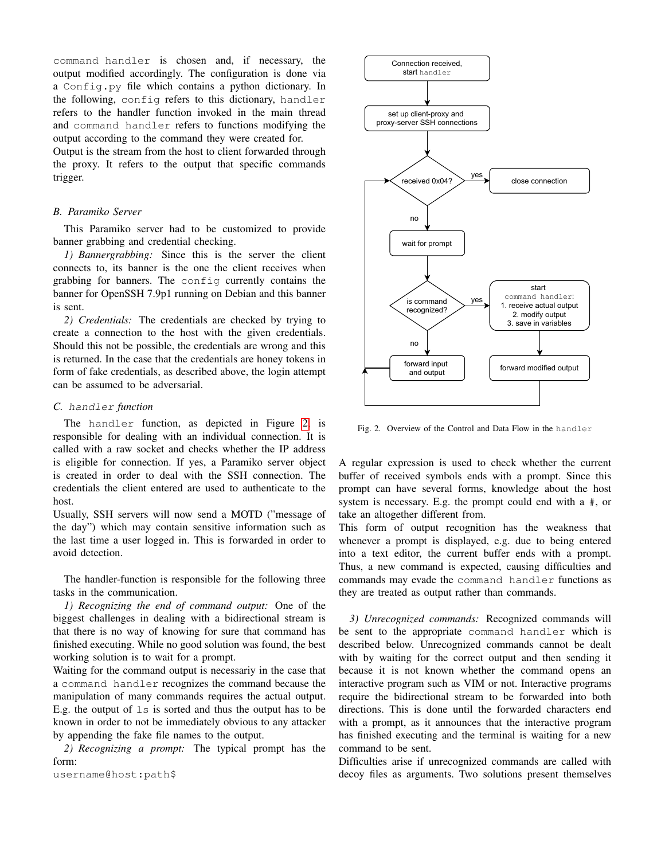command handler is chosen and, if necessary, the output modified accordingly. The configuration is done via a Config.py file which contains a python dictionary. In the following, config refers to this dictionary, handler refers to the handler function invoked in the main thread and command handler refers to functions modifying the output according to the command they were created for.

Output is the stream from the host to client forwarded through the proxy. It refers to the output that specific commands trigger.

#### *B. Paramiko Server*

This Paramiko server had to be customized to provide banner grabbing and credential checking.

*1) Bannergrabbing:* Since this is the server the client connects to, its banner is the one the client receives when grabbing for banners. The config currently contains the banner for OpenSSH 7.9p1 running on Debian and this banner is sent.

*2) Credentials:* The credentials are checked by trying to create a connection to the host with the given credentials. Should this not be possible, the credentials are wrong and this is returned. In the case that the credentials are honey tokens in form of fake credentials, as described above, the login attempt can be assumed to be adversarial.

#### *C.* handler *function*

The handler function, as depicted in Figure [2,](#page-3-0) is responsible for dealing with an individual connection. It is called with a raw socket and checks whether the IP address is eligible for connection. If yes, a Paramiko server object is created in order to deal with the SSH connection. The credentials the client entered are used to authenticate to the host.

Usually, SSH servers will now send a MOTD ("message of the day") which may contain sensitive information such as the last time a user logged in. This is forwarded in order to avoid detection.

The handler-function is responsible for the following three tasks in the communication.

*1) Recognizing the end of command output:* One of the biggest challenges in dealing with a bidirectional stream is that there is no way of knowing for sure that command has finished executing. While no good solution was found, the best working solution is to wait for a prompt.

Waiting for the command output is necessariy in the case that a command handler recognizes the command because the manipulation of many commands requires the actual output. E.g. the output of ls is sorted and thus the output has to be known in order to not be immediately obvious to any attacker by appending the fake file names to the output.

*2) Recognizing a prompt:* The typical prompt has the form:

username@host:path\$



<span id="page-3-0"></span>Fig. 2. Overview of the Control and Data Flow in the handler

A regular expression is used to check whether the current buffer of received symbols ends with a prompt. Since this prompt can have several forms, knowledge about the host system is necessary. E.g. the prompt could end with a #, or take an altogether different from.

This form of output recognition has the weakness that whenever a prompt is displayed, e.g. due to being entered into a text editor, the current buffer ends with a prompt. Thus, a new command is expected, causing difficulties and commands may evade the command handler functions as they are treated as output rather than commands.

*3) Unrecognized commands:* Recognized commands will be sent to the appropriate command handler which is described below. Unrecognized commands cannot be dealt with by waiting for the correct output and then sending it because it is not known whether the command opens an interactive program such as VIM or not. Interactive programs require the bidirectional stream to be forwarded into both directions. This is done until the forwarded characters end with a prompt, as it announces that the interactive program has finished executing and the terminal is waiting for a new command to be sent.

Difficulties arise if unrecognized commands are called with decoy files as arguments. Two solutions present themselves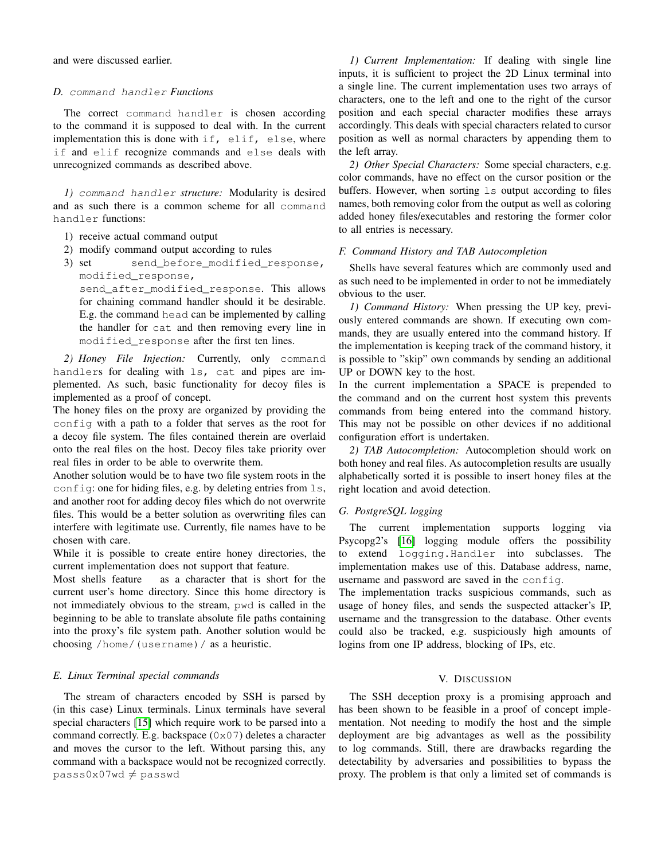and were discussed earlier.

#### *D.* command handler *Functions*

The correct command handler is chosen according to the command it is supposed to deal with. In the current implementation this is done with  $if,$  elif, else, where if and elif recognize commands and else deals with unrecognized commands as described above.

*1)* command handler *structure:* Modularity is desired and as such there is a common scheme for all command handler functions:

- 1) receive actual command output
- 2) modify command output according to rules
- 3) set send\_before\_modified\_response, modified\_response,

send\_after\_modified\_response. This allows for chaining command handler should it be desirable. E.g. the command head can be implemented by calling the handler for cat and then removing every line in modified\_response after the first ten lines.

*2) Honey File Injection:* Currently, only command handlers for dealing with ls, cat and pipes are implemented. As such, basic functionality for decoy files is implemented as a proof of concept.

The honey files on the proxy are organized by providing the config with a path to a folder that serves as the root for a decoy file system. The files contained therein are overlaid onto the real files on the host. Decoy files take priority over real files in order to be able to overwrite them.

Another solution would be to have two file system roots in the config: one for hiding files, e.g. by deleting entries from ls, and another root for adding decoy files which do not overwrite files. This would be a better solution as overwriting files can interfere with legitimate use. Currently, file names have to be chosen with care.

While it is possible to create entire honey directories, the current implementation does not support that feature.

Most shells feature as a character that is short for the current user's home directory. Since this home directory is not immediately obvious to the stream, pwd is called in the beginning to be able to translate absolute file paths containing into the proxy's file system path. Another solution would be choosing /home/(username)/ as a heuristic.

## *E. Linux Terminal special commands*

The stream of characters encoded by SSH is parsed by (in this case) Linux terminals. Linux terminals have several special characters [\[15\]](#page-5-14) which require work to be parsed into a command correctly. E.g. backspace  $(0 \times 07)$  deletes a character and moves the cursor to the left. Without parsing this, any command with a backspace would not be recognized correctly.  $pass0x07wd \neq passwd$ 

*1) Current Implementation:* If dealing with single line inputs, it is sufficient to project the 2D Linux terminal into a single line. The current implementation uses two arrays of characters, one to the left and one to the right of the cursor position and each special character modifies these arrays accordingly. This deals with special characters related to cursor position as well as normal characters by appending them to the left array.

*2) Other Special Characters:* Some special characters, e.g. color commands, have no effect on the cursor position or the buffers. However, when sorting 1s output according to files names, both removing color from the output as well as coloring added honey files/executables and restoring the former color to all entries is necessary.

#### *F. Command History and TAB Autocompletion*

Shells have several features which are commonly used and as such need to be implemented in order to not be immediately obvious to the user.

*1) Command History:* When pressing the UP key, previously entered commands are shown. If executing own commands, they are usually entered into the command history. If the implementation is keeping track of the command history, it is possible to "skip" own commands by sending an additional UP or DOWN key to the host.

In the current implementation a SPACE is prepended to the command and on the current host system this prevents commands from being entered into the command history. This may not be possible on other devices if no additional configuration effort is undertaken.

*2) TAB Autocompletion:* Autocompletion should work on both honey and real files. As autocompletion results are usually alphabetically sorted it is possible to insert honey files at the right location and avoid detection.

#### *G. PostgreSQL logging*

The current implementation supports logging via Psycopg2's [\[16\]](#page-5-15) logging module offers the possibility to extend logging.Handler into subclasses. The implementation makes use of this. Database address, name, username and password are saved in the config.

The implementation tracks suspicious commands, such as usage of honey files, and sends the suspected attacker's IP, username and the transgression to the database. Other events could also be tracked, e.g. suspiciously high amounts of logins from one IP address, blocking of IPs, etc.

## V. DISCUSSION

<span id="page-4-0"></span>The SSH deception proxy is a promising approach and has been shown to be feasible in a proof of concept implementation. Not needing to modify the host and the simple deployment are big advantages as well as the possibility to log commands. Still, there are drawbacks regarding the detectability by adversaries and possibilities to bypass the proxy. The problem is that only a limited set of commands is